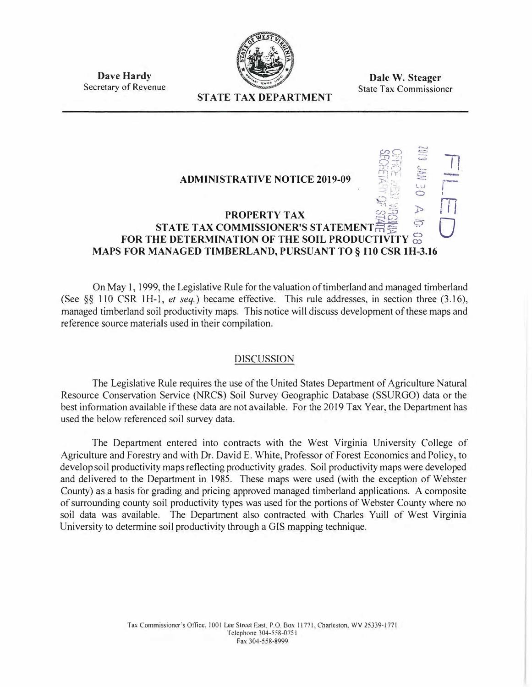

**Dave Hardy**  Secretary of Revenue

**Dale W. Steager**  State Tax Commissioner

## **STATE TAX DEPARTMENT**

## **ADMINISTRATIVE NOTICE 2019-09**   $\frac{99}{24}$ *� <sup>71</sup>*r·<sup>i</sup> *•·r .}"), =*  **, I l.�J**  *,\_; .:: <sup>0</sup>*  $\mathbb{Z}^3 \leq \mathbb{Z}^3$ **PROPERTY TAX**  $\overset{\circ}{\cancel{\mathcal{P}}\overset{\circ}{\rightarrow}}$ **STATE TAX COMMISSIONER'S STATEMENT**  $\overline{\overline{H}}$  $\overline{\overline{S}}$ **FOR THE DETERMINATION OF THE SOIL PRODUCTIVITY** g **MAPS FOR MANAGED TIMBERLAND, PURSUANT TO§ 110 CSR IH-3.16 71**  r I i<br>I<br>I 0

On May 1, 1999, the Legislative Rule for the valuation of timberland and managed timberland (See §§ 110 CSR IH-1, *et seq.)* became effective. This rule addresses, in section three (3.16), managed timberland soil productivity maps. This notice will discuss development of these maps and reference source materials used in their compilation.

## **DISCUSSION**

The Legislative Rule requires the use of the United States Department of Agriculture Natural Resource Conservation Service (NRCS) Soil Survey Geographic Database (SSURGO) data or the best information available if these data are not available. For the 2019 Tax Year. the Department has used the below referenced soil survey data.

The Department entered into contracts with the West Virginia University College of Agriculture and Forestry and with Dr. David E. White, Professor of Forest Economics and Policy. to develop soil productivity maps reflecting productivity grades. Soil productivity maps were developed and delivered to the Department in 1985. These maps were used (with the exception of Webster County) as a basis for grading and pricing approved managed timberland applications. A composite of surrounding county soil productivity types was used for the portions of Webster County where no soil data was available. The Department also contracted with Charles Yuill of West Virginia University to determine soil productivity through a GIS mapping technique.